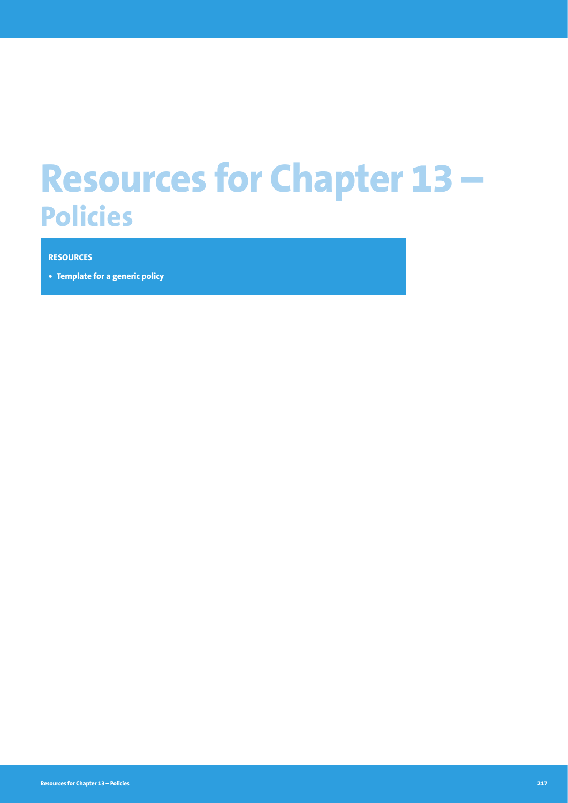# **Resources for Chapter 13 – Policies**

#### **RESOURCES**

**• Template for a generic policy**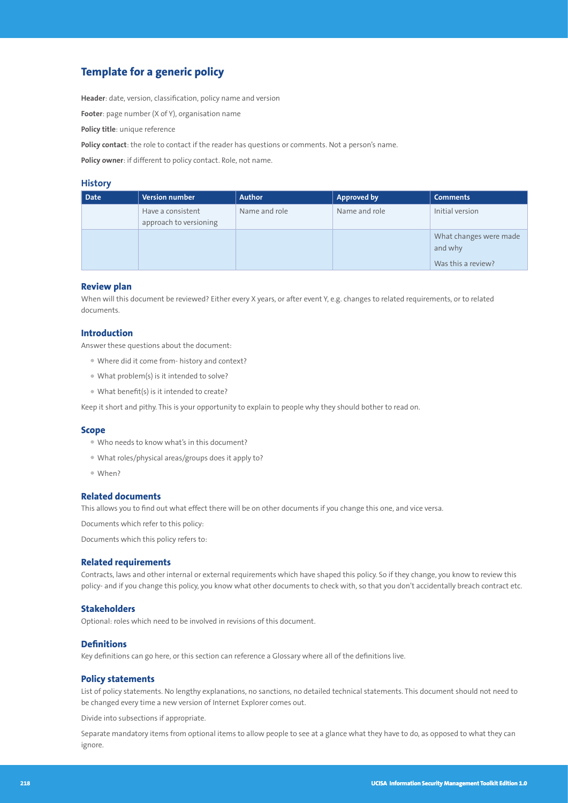# **Template for a generic policy**

**Header**: date, version, classification, policy name and version

**Footer**: page number (X of Y), organisation name

**Policy title**: unique reference

**Policy contact**: the role to contact if the reader has questions or comments. Not a person's name.

**Policy owner**: if different to policy contact. Role, not name.

## **History**

| <b>Date</b> | Version number                              | <b>Author</b> | <b>Approved by</b> | <b>Comments</b>                                         |
|-------------|---------------------------------------------|---------------|--------------------|---------------------------------------------------------|
|             | Have a consistent<br>approach to versioning | Name and role | Name and role      | Initial version                                         |
|             |                                             |               |                    | What changes were made<br>and why<br>Was this a review? |

### **Review plan**

When will this document be reviewed? Either every X years, or after event Y, e.g. changes to related requirements, or to related documents.

### **Introduction**

Answer these questions about the document:

- Where did it come from- history and context?
- What problem(s) is it intended to solve?
- What benefit(s) is it intended to create?

Keep it short and pithy. This is your opportunity to explain to people why they should bother to read on.

#### **Scope**

- Who needs to know what's in this document?
- What roles/physical areas/groups does it apply to?
- When?

#### **Related documents**

This allows you to find out what effect there will be on other documents if you change this one, and vice versa.

Documents which refer to this policy:

Documents which this policy refers to:

#### **Related requirements**

Contracts, laws and other internal or external requirements which have shaped this policy. So if they change, you know to review this policy- and if you change this policy, you know what other documents to check with, so that you don't accidentally breach contract etc.

#### **Stakeholders**

Optional: roles which need to be involved in revisions of this document.

#### **Definitions**

Key definitions can go here, or this section can reference a Glossary where all of the definitions live.

#### **Policy statements**

List of policy statements. No lengthy explanations, no sanctions, no detailed technical statements. This document should not need to be changed every time a new version of Internet Explorer comes out.

Divide into subsections if appropriate.

Separate mandatory items from optional items to allow people to see at a glance what they have to do, as opposed to what they can ignore.